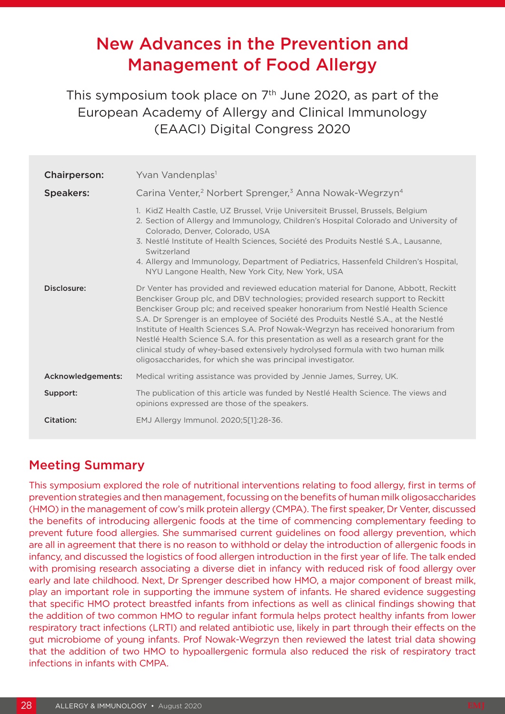# New Advances in the Prevention and Management of Food Allergy

This symposium took place on  $7<sup>th</sup>$  June 2020, as part of the European Academy of Allergy and Clinical Immunology (EAACI) Digital Congress 2020

| <b>Chairperson:</b> | Yvan Vandenplas <sup>1</sup>                                                                                                                                                                                                                                                                                                                                                                                                                                                                                                                                                                                                                                                  |
|---------------------|-------------------------------------------------------------------------------------------------------------------------------------------------------------------------------------------------------------------------------------------------------------------------------------------------------------------------------------------------------------------------------------------------------------------------------------------------------------------------------------------------------------------------------------------------------------------------------------------------------------------------------------------------------------------------------|
| <b>Speakers:</b>    | Carina Venter, <sup>2</sup> Norbert Sprenger, <sup>3</sup> Anna Nowak-Wegrzyn <sup>4</sup>                                                                                                                                                                                                                                                                                                                                                                                                                                                                                                                                                                                    |
|                     | 1. KidZ Health Castle, UZ Brussel, Vrije Universiteit Brussel, Brussels, Belgium<br>2. Section of Allergy and Immunology, Children's Hospital Colorado and University of<br>Colorado, Denver, Colorado, USA<br>3. Nestlé Institute of Health Sciences, Société des Produits Nestlé S.A., Lausanne,<br>Switzerland<br>4. Allergy and Immunology, Department of Pediatrics, Hassenfeld Children's Hospital,<br>NYU Langone Health, New York City, New York, USA                                                                                                                                                                                                                 |
| Disclosure:         | Dr Venter has provided and reviewed education material for Danone, Abbott, Reckitt<br>Benckiser Group plc, and DBV technologies; provided research support to Reckitt<br>Benckiser Group plc; and received speaker honorarium from Nestlé Health Science<br>S.A. Dr Sprenger is an employee of Société des Produits Nestlé S.A., at the Nestlé<br>Institute of Health Sciences S.A. Prof Nowak-Wegrzyn has received honorarium from<br>Nestlé Health Science S.A. for this presentation as well as a research grant for the<br>clinical study of whey-based extensively hydrolysed formula with two human milk<br>oligosaccharides, for which she was principal investigator. |
| Acknowledgements:   | Medical writing assistance was provided by Jennie James, Surrey, UK.                                                                                                                                                                                                                                                                                                                                                                                                                                                                                                                                                                                                          |
| Support:            | The publication of this article was funded by Nestlé Health Science. The views and<br>opinions expressed are those of the speakers.                                                                                                                                                                                                                                                                                                                                                                                                                                                                                                                                           |
| Citation:           | EMJ Allergy Immunol. 2020;5[1]:28-36.                                                                                                                                                                                                                                                                                                                                                                                                                                                                                                                                                                                                                                         |

## Meeting Summary

This symposium explored the role of nutritional interventions relating to food allergy, first in terms of prevention strategies and then management, focussing on the benefits of human milk oligosaccharides (HMO) in the management of cow's milk protein allergy (CMPA). The first speaker, Dr Venter, discussed the benefits of introducing allergenic foods at the time of commencing complementary feeding to prevent future food allergies. She summarised current guidelines on food allergy prevention, which are all in agreement that there is no reason to withhold or delay the introduction of allergenic foods in infancy, and discussed the logistics of food allergen introduction in the first year of life. The talk ended with promising research associating a diverse diet in infancy with reduced risk of food allergy over early and late childhood. Next, Dr Sprenger described how HMO, a major component of breast milk, play an important role in supporting the immune system of infants. He shared evidence suggesting that specific HMO protect breastfed infants from infections as well as clinical findings showing that the addition of two common HMO to regular infant formula helps protect healthy infants from lower respiratory tract infections (LRTI) and related antibiotic use, likely in part through their effects on the gut microbiome of young infants. Prof Nowak-Wegrzyn then reviewed the latest trial data showing that the addition of two HMO to hypoallergenic formula also reduced the risk of respiratory tract infections in infants with CMPA.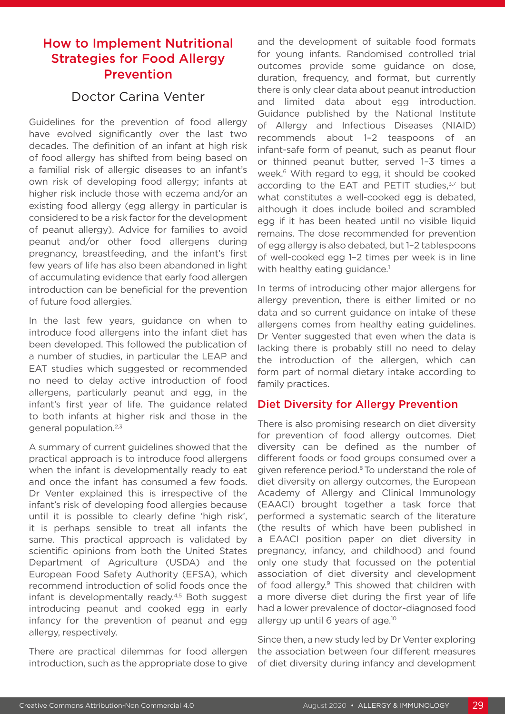### How to Implement Nutritional Strategies for Food Allergy Prevention

### Doctor Carina Venter

Guidelines for the prevention of food allergy have evolved significantly over the last two decades. The definition of an infant at high risk of food allergy has shifted from being based on a familial risk of allergic diseases to an infant's own risk of developing food allergy; infants at higher risk include those with eczema and/or an existing food allergy (egg allergy in particular is considered to be a risk factor for the development of peanut allergy). Advice for families to avoid peanut and/or other food allergens during pregnancy, breastfeeding, and the infant's first few years of life has also been abandoned in light of accumulating evidence that early food allergen introduction can be beneficial for the prevention of future food allergies.<sup>1</sup>

In the last few years, guidance on when to introduce food allergens into the infant diet has been developed. This followed the publication of a number of studies, in particular the LEAP and EAT studies which suggested or recommended no need to delay active introduction of food allergens, particularly peanut and egg, in the infant's first year of life. The guidance related to both infants at higher risk and those in the general population.2,3

A summary of current guidelines showed that the practical approach is to introduce food allergens when the infant is developmentally ready to eat and once the infant has consumed a few foods. Dr Venter explained this is irrespective of the infant's risk of developing food allergies because until it is possible to clearly define 'high risk', it is perhaps sensible to treat all infants the same. This practical approach is validated by scientific opinions from both the United States Department of Agriculture (USDA) and the European Food Safety Authority (EFSA), which recommend introduction of solid foods once the infant is developmentally ready.<sup>4,5</sup> Both suggest introducing peanut and cooked egg in early infancy for the prevention of peanut and egg allergy, respectively.

There are practical dilemmas for food allergen introduction, such as the appropriate dose to give and the development of suitable food formats for young infants. Randomised controlled trial outcomes provide some guidance on dose, duration, frequency, and format, but currently there is only clear data about peanut introduction and limited data about egg introduction. Guidance published by the National Institute of Allergy and Infectious Diseases (NIAID) recommends about 1–2 teaspoons of an infant-safe form of peanut, such as peanut flour or thinned peanut butter, served 1–3 times a week.<sup>6</sup> With regard to egg, it should be cooked according to the EAT and PETIT studies, $3,7$  but what constitutes a well-cooked egg is debated, although it does include boiled and scrambled egg if it has been heated until no visible liquid remains. The dose recommended for prevention of egg allergy is also debated, but 1–2 tablespoons of well-cooked egg 1–2 times per week is in line with healthy eating guidance.<sup>1</sup>

In terms of introducing other major allergens for allergy prevention, there is either limited or no data and so current guidance on intake of these allergens comes from healthy eating guidelines. Dr Venter suggested that even when the data is lacking there is probably still no need to delay the introduction of the allergen, which can form part of normal dietary intake according to family practices.

#### Diet Diversity for Allergy Prevention

There is also promising research on diet diversity for prevention of food allergy outcomes. Diet diversity can be defined as the number of different foods or food groups consumed over a given reference period.8 To understand the role of diet diversity on allergy outcomes, the European Academy of Allergy and Clinical Immunology (EAACI) brought together a task force that performed a systematic search of the literature (the results of which have been published in a EAACI position paper on diet diversity in pregnancy, infancy, and childhood) and found only one study that focussed on the potential association of diet diversity and development of food allergy.9 This showed that children with a more diverse diet during the first year of life had a lower prevalence of doctor-diagnosed food allergy up until 6 years of age.<sup>10</sup>

Since then, a new study led by Dr Venter exploring the association between four different measures of diet diversity during infancy and development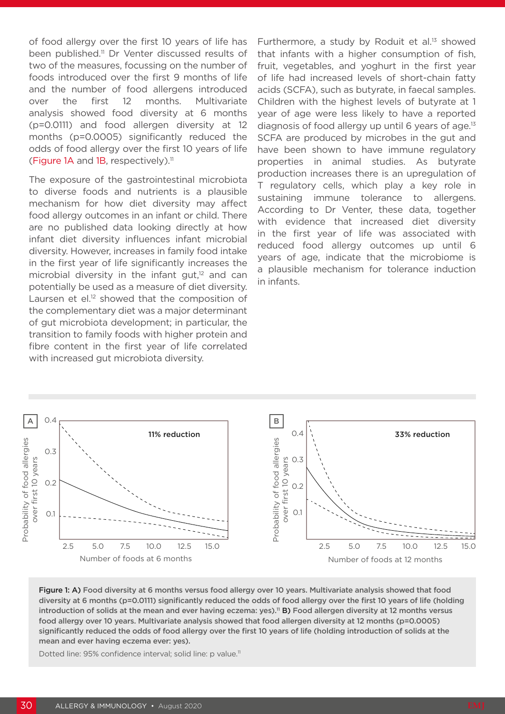of food allergy over the first 10 years of life has been published.<sup>11</sup> Dr Venter discussed results of two of the measures, focussing on the number of foods introduced over the first 9 months of life and the number of food allergens introduced over the first 12 months. Multivariate analysis showed food diversity at 6 months (p=0.0111) and food allergen diversity at 12 months (p=0.0005) significantly reduced the odds of food allergy over the first 10 years of life (Figure 1A and 1B, respectively).<sup>11</sup>

The exposure of the gastrointestinal microbiota to diverse foods and nutrients is a plausible mechanism for how diet diversity may affect food allergy outcomes in an infant or child. There are no published data looking directly at how infant diet diversity influences infant microbial diversity. However, increases in family food intake in the first year of life significantly increases the microbial diversity in the infant gut, $12$  and can potentially be used as a measure of diet diversity. Laursen et el.<sup>12</sup> showed that the composition of the complementary diet was a major determinant of gut microbiota development; in particular, the transition to family foods with higher protein and fibre content in the first year of life correlated with increased gut microbiota diversity.

Furthermore, a study by Roduit et al.<sup>13</sup> showed that infants with a higher consumption of fish, fruit, vegetables, and yoghurt in the first year of life had increased levels of short-chain fatty acids (SCFA), such as butyrate, in faecal samples. Children with the highest levels of butyrate at 1 year of age were less likely to have a reported diagnosis of food allergy up until  $6$  years of age.<sup>13</sup> SCFA are produced by microbes in the gut and have been shown to have immune regulatory properties in animal studies. As butyrate production increases there is an upregulation of T regulatory cells, which play a key role in sustaining immune tolerance to allergens. According to Dr Venter, these data, together with evidence that increased diet diversity in the first year of life was associated with reduced food allergy outcomes up until 6 years of age, indicate that the microbiome is a plausible mechanism for tolerance induction in infants.



Figure 1: A) Food diversity at 6 months versus food allergy over 10 years. Multivariate analysis showed that food diversity at 6 months (p=0.0111) significantly reduced the odds of food allergy over the first 10 years of life (holding introduction of solids at the mean and ever having eczema: yes).<sup>11</sup> B) Food allergen diversity at 12 months versus food allergy over 10 years. Multivariate analysis showed that food allergen diversity at 12 months (p=0.0005) significantly reduced the odds of food allergy over the first 10 years of life (holding introduction of solids at the mean and ever having eczema ever: yes).

Dotted line: 95% confidence interval; solid line: p value.<sup>11</sup>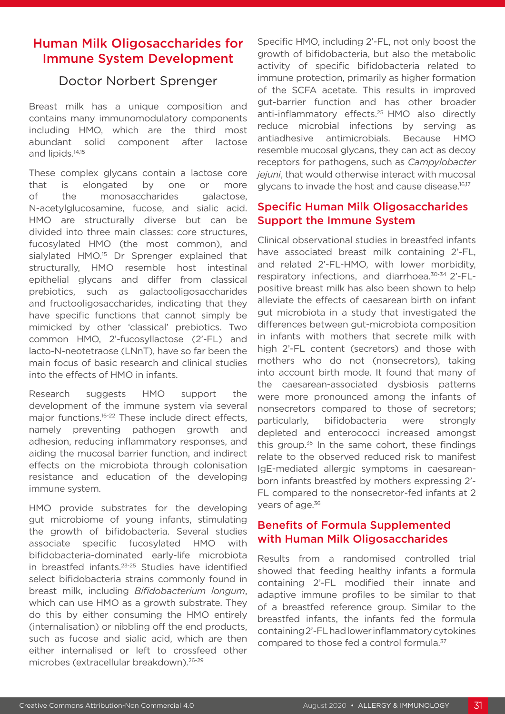### Human Milk Oligosaccharides for Immune System Development

### Doctor Norbert Sprenger

Breast milk has a unique composition and contains many immunomodulatory components including HMO, which are the third most abundant solid component after lactose and lipids.14,15

These complex glycans contain a lactose core that is elongated by one or more of the monosaccharides galactose, N-acetylglucosamine, fucose, and sialic acid. HMO are structurally diverse but can be divided into three main classes: core structures, fucosylated HMO (the most common), and sialylated HMO.<sup>15</sup> Dr Sprenger explained that structurally, HMO resemble host intestinal epithelial glycans and differ from classical prebiotics, such as galactooligosaccharides and fructooligosaccharides, indicating that they have specific functions that cannot simply be mimicked by other 'classical' prebiotics. Two common HMO, 2'-fucosyllactose (2'-FL) and lacto-N-neotetraose (LNnT), have so far been the main focus of basic research and clinical studies into the effects of HMO in infants.

Research suggests HMO support the development of the immune system via several major functions.<sup>16-22</sup> These include direct effects, namely preventing pathogen growth and adhesion, reducing inflammatory responses, and aiding the mucosal barrier function, and indirect effects on the microbiota through colonisation resistance and education of the developing immune system.

HMO provide substrates for the developing gut microbiome of young infants, stimulating the growth of bifidobacteria. Several studies associate specific fucosylated HMO with bifidobacteria-dominated early-life microbiota in breastfed infants.23-25 Studies have identified select bifidobacteria strains commonly found in breast milk, including *Bifidobacterium longum*, which can use HMO as a growth substrate. They do this by either consuming the HMO entirely (internalisation) or nibbling off the end products, such as fucose and sialic acid, which are then either internalised or left to crossfeed other microbes (extracellular breakdown).26-29

Specific HMO, including 2'-FL, not only boost the growth of bifidobacteria, but also the metabolic activity of specific bifidobacteria related to immune protection, primarily as higher formation of the SCFA acetate. This results in improved gut-barrier function and has other broader anti-inflammatory effects.25 HMO also directly reduce microbial infections by serving as antiadhesive antimicrobials. Because HMO resemble mucosal glycans, they can act as decoy receptors for pathogens, such as *Campylobacter jejuni*, that would otherwise interact with mucosal glycans to invade the host and cause disease.16,17

#### Specific Human Milk Oligosaccharides Support the Immune System

Clinical observational studies in breastfed infants have associated breast milk containing 2'-FL, and related 2'-FL-HMO, with lower morbidity, respiratory infections, and diarrhoea.30-34 2'-FLpositive breast milk has also been shown to help alleviate the effects of caesarean birth on infant gut microbiota in a study that investigated the differences between gut-microbiota composition in infants with mothers that secrete milk with high 2'-FL content (secretors) and those with mothers who do not (nonsecretors), taking into account birth mode. It found that many of the caesarean-associated dysbiosis patterns were more pronounced among the infants of nonsecretors compared to those of secretors; particularly, bifidobacteria were strongly depleted and enterococci increased amongst this group. $35$  In the same cohort, these findings relate to the observed reduced risk to manifest IgE-mediated allergic symptoms in caesareanborn infants breastfed by mothers expressing 2'- FL compared to the nonsecretor-fed infants at 2 years of age.<sup>36</sup>

#### Benefits of Formula Supplemented with Human Milk Oligosaccharides

Results from a randomised controlled trial showed that feeding healthy infants a formula containing 2'-FL modified their innate and adaptive immune profiles to be similar to that of a breastfed reference group. Similar to the breastfed infants, the infants fed the formula containing 2'-FL had lower inflammatory cytokines compared to those fed a control formula.<sup>37</sup>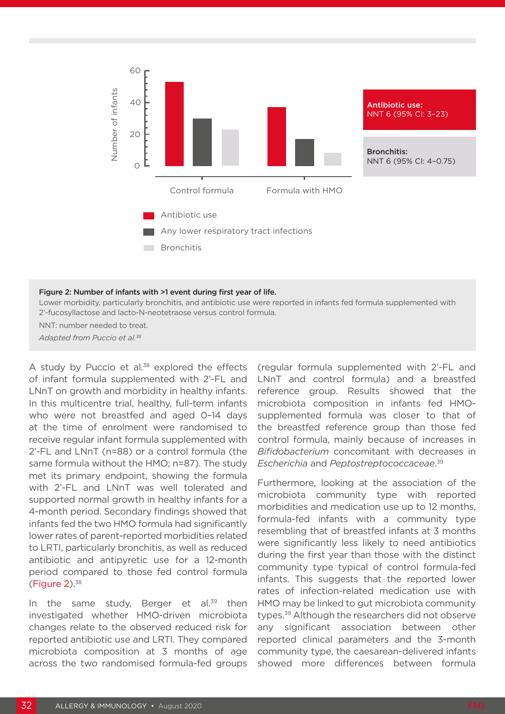

#### Figure 2: Number of infants with >1 event during first year of life.

Lower morbidity, particularly bronchitis, and antibiotic use were reported in infants fed formula supplemented with 2'-fucosyllactose and lacto-N-neotetraose versus control formula.

NNT: number needed to treat.

*Adapted from Puccio et al.38*

A study by Puccio et al.<sup>38</sup> explored the effects of infant formula supplemented with 2'-FL and LNnT on growth and morbidity in healthy infants. In this multicentre trial, healthy, full-term infants who were not breastfed and aged 0-14 days at the time of enrolment were randomised to receive regular infant formula supplemented with 2'-FL and LNnT (n=88) or a control formula (the same formula without the HMO; n=87). The study met its primary endpoint, showing the formula with 2'-FL and LNnT was well tolerated and supported normal growth in healthy infants for a 4-month period. Secondary findings showed that infants fed the two HMO formula had significantly lower rates of parent-reported morbidities related to LRTI, particularly bronchitis, as well as reduced antibiotic and antipyretic use for a 12-month period compared to those fed control formula (Figure 2).38

In the same study, Berger et al. $39$  then investigated whether HMO-driven microbiota changes relate to the observed reduced risk for reported antibiotic use and LRTI. They compared microbiota composition at 3 months of age across the two randomised formula-fed groups

(regular formula supplemented with 2'-FL and LNnT and control formula) and a breastfed reference group. Results showed that the microbiota composition in infants fed HMOsupplemented formula was closer to that of the breastfed reference group than those fed control formula, mainly because of increases in *Bifidobacterium* concomitant with decreases in *Escherichia* and *Peptostreptococcaceae*. 39

Furthermore, looking at the association of the microbiota community type with reported morbidities and medication use up to 12 months, formula-fed infants with a community type resembling that of breastfed infants at 3 months were significantly less likely to need antibiotics during the first year than those with the distinct community type typical of control formula-fed infants. This suggests that the reported lower rates of infection-related medication use with HMO may be linked to gut microbiota community types.<sup>39</sup> Although the researchers did not observe any significant association between other reported clinical parameters and the 3-month community type, the caesarean-delivered infants showed more differences between formula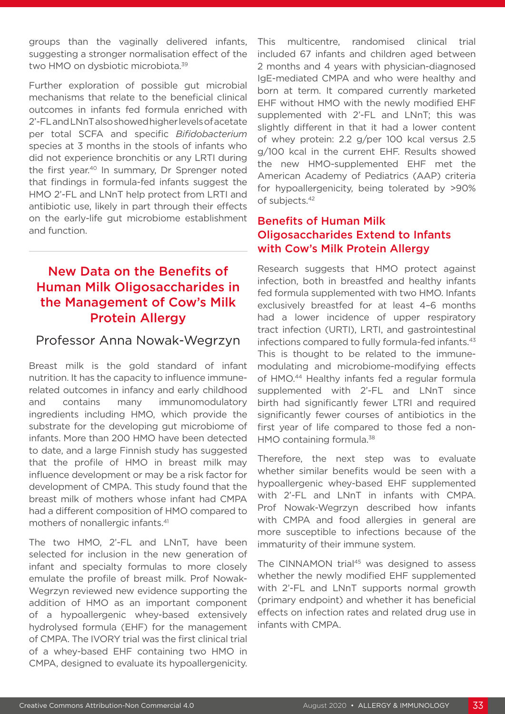groups than the vaginally delivered infants, suggesting a stronger normalisation effect of the two HMO on dysbiotic microbiota.39

Further exploration of possible gut microbial mechanisms that relate to the beneficial clinical outcomes in infants fed formula enriched with 2'-FL and LNnT also showed higher levels of acetate per total SCFA and specific *Bifidobacterium* species at 3 months in the stools of infants who did not experience bronchitis or any LRTI during the first year.<sup>40</sup> In summary, Dr Sprenger noted that findings in formula-fed infants suggest the HMO 2'-FL and LNnT help protect from LRTI and antibiotic use, likely in part through their effects on the early-life gut microbiome establishment and function.

## New Data on the Benefits of Human Milk Oligosaccharides in the Management of Cow's Milk Protein Allergy

### Professor Anna Nowak-Wegrzyn

Breast milk is the gold standard of infant nutrition. It has the capacity to influence immunerelated outcomes in infancy and early childhood and contains many immunomodulatory ingredients including HMO, which provide the substrate for the developing gut microbiome of infants. More than 200 HMO have been detected to date, and a large Finnish study has suggested that the profile of HMO in breast milk may influence development or may be a risk factor for development of CMPA. This study found that the breast milk of mothers whose infant had CMPA had a different composition of HMO compared to mothers of nonallergic infants.41

The two HMO, 2'-FL and LNnT, have been selected for inclusion in the new generation of infant and specialty formulas to more closely emulate the profile of breast milk. Prof Nowak-Wegrzyn reviewed new evidence supporting the addition of HMO as an important component of a hypoallergenic whey-based extensively hydrolysed formula (EHF) for the management of CMPA. The IVORY trial was the first clinical trial of a whey-based EHF containing two HMO in CMPA, designed to evaluate its hypoallergenicity.

This multicentre, randomised clinical trial included 67 infants and children aged between 2 months and 4 years with physician-diagnosed IgE-mediated CMPA and who were healthy and born at term. It compared currently marketed EHF without HMO with the newly modified EHF supplemented with 2'-FL and LNnT; this was slightly different in that it had a lower content of whey protein: 2.2 g/per 100 kcal versus 2.5 g/100 kcal in the current EHF. Results showed the new HMO-supplemented EHF met the American Academy of Pediatrics (AAP) criteria for hypoallergenicity, being tolerated by >90% of subjects.42

#### Benefits of Human Milk Oligosaccharides Extend to Infants with Cow's Milk Protein Allergy

Research suggests that HMO protect against infection, both in breastfed and healthy infants fed formula supplemented with two HMO. Infants exclusively breastfed for at least 4–6 months had a lower incidence of upper respiratory tract infection (URTI), LRTI, and gastrointestinal infections compared to fully formula-fed infants.<sup>43</sup> This is thought to be related to the immunemodulating and microbiome-modifying effects of HMO.<sup>44</sup> Healthy infants fed a regular formula supplemented with 2'-FL and LNnT since birth had significantly fewer LTRI and required significantly fewer courses of antibiotics in the first year of life compared to those fed a non-HMO containing formula.<sup>38</sup>

Therefore, the next step was to evaluate whether similar benefits would be seen with a hypoallergenic whey-based EHF supplemented with 2'-FL and LNnT in infants with CMPA. Prof Nowak-Wegrzyn described how infants with CMPA and food allergies in general are more susceptible to infections because of the immaturity of their immune system.

The CINNAMON trial<sup>45</sup> was designed to assess whether the newly modified EHF supplemented with 2'-FL and LNnT supports normal growth (primary endpoint) and whether it has beneficial effects on infection rates and related drug use in infants with CMPA.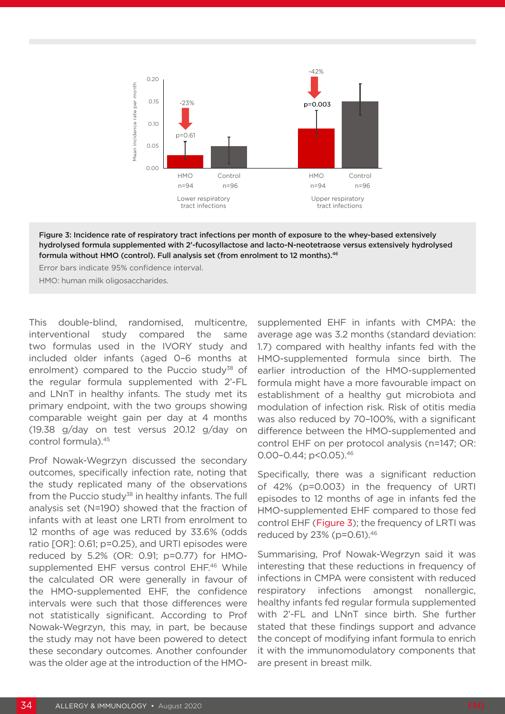

Figure 3: Incidence rate of respiratory tract infections per month of exposure to the whey-based extensively hydrolysed formula supplemented with 2'-fucosyllactose and lacto-N-neotetraose versus extensively hydrolysed formula without HMO (control). Full analysis set (from enrolment to 12 months).<sup>46</sup>

Error bars indicate 95% confidence interval.

HMO: human milk oligosaccharides.

This double-blind, randomised, multicentre, interventional study compared the same two formulas used in the IVORY study and included older infants (aged 0–6 months at enrolment) compared to the Puccio study<sup>38</sup> of the regular formula supplemented with 2'-FL and LNnT in healthy infants. The study met its primary endpoint, with the two groups showing comparable weight gain per day at 4 months (19.38 g/day on test versus 20.12 g/day on control formula).45

Prof Nowak-Wegrzyn discussed the secondary outcomes, specifically infection rate, noting that the study replicated many of the observations from the Puccio study<sup>38</sup> in healthy infants. The full analysis set (N=190) showed that the fraction of infants with at least one LRTI from enrolment to 12 months of age was reduced by 33.6% (odds ratio [OR]: 0.61; p=0.25), and URTI episodes were reduced by 5.2% (OR: 0.91; p=0.77) for HMOsupplemented EHF versus control EHF.<sup>46</sup> While the calculated OR were generally in favour of the HMO-supplemented EHF, the confidence intervals were such that those differences were not statistically significant. According to Prof Nowak-Wegrzyn, this may, in part, be because the study may not have been powered to detect these secondary outcomes. Another confounder was the older age at the introduction of the HMO-

supplemented EHF in infants with CMPA: the average age was 3.2 months (standard deviation: 1.7) compared with healthy infants fed with the HMO-supplemented formula since birth. The earlier introduction of the HMO-supplemented formula might have a more favourable impact on establishment of a healthy gut microbiota and modulation of infection risk. Risk of otitis media was also reduced by 70–100%, with a significant difference between the HMO-supplemented and control EHF on per protocol analysis (n=147; OR: 0.00-0.44; p<0.05).<sup>46</sup>

Specifically, there was a significant reduction of 42% (p=0.003) in the frequency of URTI episodes to 12 months of age in infants fed the HMO-supplemented EHF compared to those fed control EHF (Figure 3); the frequency of LRTI was reduced by 23% (p=0.61).46

Summarising, Prof Nowak-Wegrzyn said it was interesting that these reductions in frequency of infections in CMPA were consistent with reduced respiratory infections amongst nonallergic, healthy infants fed regular formula supplemented with 2'-FL and LNnT since birth. She further stated that these findings support and advance the concept of modifying infant formula to enrich it with the immunomodulatory components that are present in breast milk.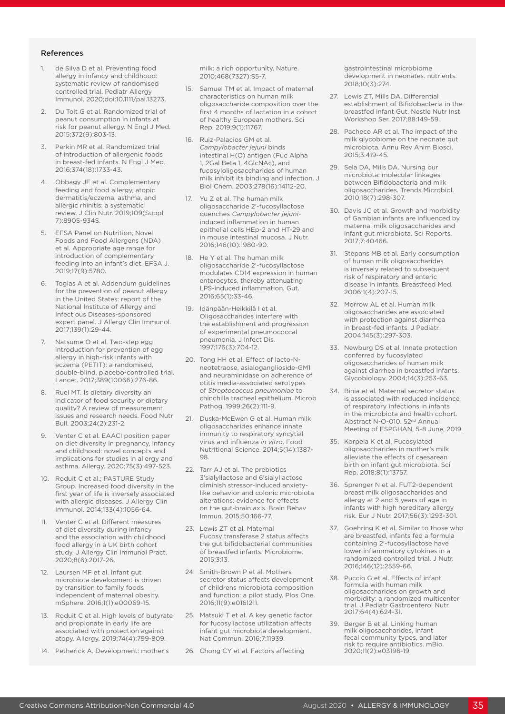#### References

- 1. de Silva D et al. Preventing food allergy in infancy and childhood: systematic review of randomised controlled trial. Pediatr Allergy Immunol. 2020;doi:10.1111/pai.13273.
- 2. Du Toit G et al. Randomized trial of peanut consumption in infants at risk for peanut allergy. N Engl J Med. 2015;372(9):803-13.
- Perkin MR et al. Randomized trial of introduction of allergenic foods in breast-fed infants. N Engl J Med. 2016;374(18):1733-43.
- 4. Obbagy JE et al. Complementary feeding and food allergy, atopic dermatitis/eczema, asthma, and allergic rhinitis: a systematic review. J Clin Nutr. 2019;109(Suppl 7):890S-934S.
- **EFSA Panel on Nutrition, Novel** Foods and Food Allergens (NDA) et al. Appropriate age range for introduction of complementary feeding into an infant's diet. EFSA J. 2019;17(9):5780.
- 6. Togias A et al. Addendum guidelines for the prevention of peanut allergy in the United States: report of the National Institute of Allergy and Infectious Diseases-sponsored expert panel. J Allergy Clin Immunol. 2017;139(1):29-44.
- Natsume O et al. Two-step egg introduction for prevention of egg allergy in high-risk infants with eczema (PETIT): a randomised, double-blind, placebo-controlled trial. Lancet. 2017;389(10066):276-86.
- 8. Ruel MT. Is dietary diversity an indicator of food security or dietary quality? A review of measurement issues and research needs. Food Nutr Bull. 2003;24(2):231-2.
- 9. Venter C et al. EAACI position paper on diet diversity in pregnancy, infancy and childhood: novel concepts and implications for studies in allergy and asthma. Allergy. 2020;75(3):497-523.
- 10. Roduit C et al.; PASTURE Study Group. Increased food diversity in the first year of life is inversely associated with allergic diseases. J Allergy Clin Immunol. 2014;133(4):1056-64.
- 11. Venter C et al. Different measures of diet diversity during infancy and the association with childhood food allergy in a UK birth cohort study. J Allergy Clin Immunol Pract. 2020;8(6):2017-26.
- 12. Laursen MF et al. Infant gut microbiota development is driven by transition to family foods independent of maternal obesity. mSphere. 2016;1(1):e00069-15.
- 13. Roduit C et al. High levels of butyrate and propionate in early life are associated with protection against atopy. Allergy. 2019;74(4):799-809.
- 14. Petherick A. Development: mother's

milk: a rich opportunity. Nature. 2010;468(7327):S5-7.

- 15. Samuel TM et al. Impact of maternal characteristics on human milk oligosaccharide composition over the first 4 months of lactation in a cohort of healthy European mothers. Sci Rep. 2019;9(1):11767.
- 16. Ruiz-Palacios GM et al. *Campylobacter jejuni* binds intestinal H(O) antigen (Fuc Alpha 1, 2Gal Beta 1, 4GlcNAc), and fucosyloligosaccharides of human milk inhibit its binding and infection. J Biol Chem. 2003;278(16):14112-20.
- 17. Yu Z et al. The human milk oligosaccharide 2'-fucosyllactose quenches *Campylobacter jejuni*induced inflammation in human epithelial cells HEp-2 and HT-29 and in mouse intestinal mucosa. J Nutr. 2016;146(10):1980-90.
- 18. He Y et al. The human milk oligosaccharide 2'-fucosyllactose modulates CD14 expression in human enterocytes, thereby attenuating LPS-induced inflammation. Gut. 2016;65(1):33-46.
- 19. Idänpään-Heikkilä I et al. Oligosaccharides interfere with the establishment and progression of experimental pneumococcal pneumonia. J Infect Dis. 1997;176(3):704-12.
- 20. Tong HH et al. Effect of lacto-Nneotetraose, asialoganglioside-GM1 and neuraminidase on adherence of otitis media-associated serotypes of *Streptococcus pneumoniae* to chinchilla tracheal epithelium. Microb Pathog. 1999;26(2):111-9.
- 21. Duska-McEwen G et al. Human milk oligosaccharides enhance innate immunity to respiratory syncytial virus and influenza *in vitro*. Food Nutritional Science. 2014;5(14):1387- 98.
- 22. Tarr AJ et al. The prebiotics 3'sialyllactose and 6'sialyllactose diminish stressor-induced anxietylike behavior and colonic microbiota alterations: evidence for effects on the gut-brain axis. Brain Behav Immun. 2015;50:166-77.
- 23. Lewis ZT et al. Maternal Fucosyltransferase 2 status affects the gut bifidobacterial communities of breastfed infants. Microbiome. 2015;3:13.
- 24. Smith-Brown P et al. Mothers secretor status affects development of childrens microbiota composition and function: a pilot study. Plos One. 2016;11(9):e0161211.
- 25. Matsuki T et al. A key genetic factor for fucosyllactose utilization affects infant gut microbiota development. Nat Commun. 2016;7:11939.
- 26. Chong CY et al. Factors affecting

gastrointestinal microbiome development in neonates. nutrients. 2018;10(3):274.

- 27. Lewis ZT, Mills DA. Differential establishment of Bifidobacteria in the breastfed infant Gut. Nestle Nutr Inst Workshop Ser. 2017;88:149-59.
- 28. Pacheco AR et al. The impact of the milk glycobiome on the neonate gut microbiota. Annu Rev Anim Biosci. 2015;3:419-45.
- 29. Sela DA, Mills DA. Nursing our microbiota: molecular linkages between Bifidobacteria and milk oligosaccharides. Trends Microbiol. 2010;18(7):298-307.
- 30. Davis JC et al. Growth and morbidity of Gambian infants are influenced by maternal milk oligosaccharides and infant gut microbiota. Sci Reports. 2017;7:40466.
- 31. Stepans MB et al. Early consumption of human milk oligosaccharides is inversely related to subsequent risk of respiratory and enteric disease in infants. Breastfeed Med. 2006;1(4):207-15.
- 32. Morrow AL et al. Human milk oligosaccharides are associated with protection against diarrhea in breast-fed infants. J Pediatr. 2004;145(3):297-303.
- 33. Newburg DS et al. Innate protection conferred by fucosylated oligosaccharides of human milk against diarrhea in breastfed infants. Glycobiology. 2004;14(3):253-63.
- 34. Binia et al. Maternal secretor status is associated with reduced incidence of respiratory infections in infants in the microbiota and health cohort. Abstract N-O-010. 52<sup>nd</sup> Annual Meeting of ESPGHAN, 5-8 June, 2019.
- 35. Korpela K et al. Fucosylated oligosaccharides in mother's milk alleviate the effects of caesarean birth on infant gut microbiota. Sci Rep. 2018;8(1):13757.
- 36. Sprenger N et al. FUT2-dependent breast milk oligosaccharides and allergy at 2 and 5 years of age in infants with high hereditary allergy risk. Eur J Nutr. 2017;56(3):1293-301.
- 37. Goehring K et al. Similar to those who are breastfed, infants fed a formula containing 2'-fucosyllactose have lower inflammatory cytokines in a randomized controlled trial. J Nutr. 2016;146(12):2559-66.
- 38. Puccio G et al. Effects of infant formula with human milk oligosaccharides on growth and morbidity: a randomized multicenter trial. J Pediatr Gastroenterol Nutr. 2017;64(4):624-31.
- 39. Berger B et al. Linking human milk oligosaccharides, infant fecal community types, and later risk to require antibiotics. mBio. 2020;11(2):e03196-19.